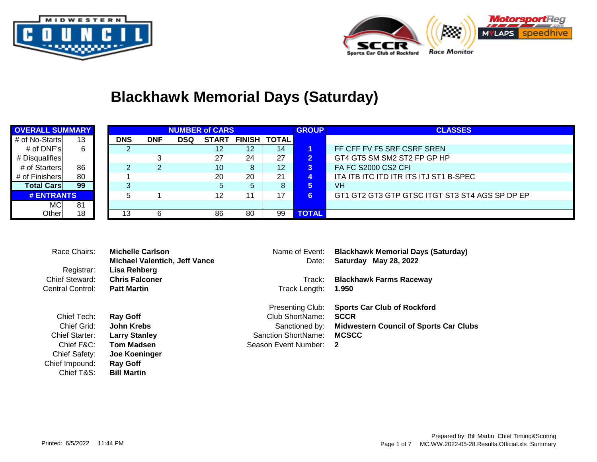



# **Blackhawk Memorial Days (Saturday)**

| <b>OVERALL SUMMARY</b> |    |            |            |            | <b>NUMBER of CARS</b> |    |                       | <b>GROUP</b> | <b>CLASSES</b>                                 |  |  |  |  |
|------------------------|----|------------|------------|------------|-----------------------|----|-----------------------|--------------|------------------------------------------------|--|--|--|--|
| # of No-Starts         | 13 | <b>DNS</b> | <b>DNF</b> | <b>DSQ</b> | <b>START</b>          |    | <b>FINISH   TOTAL</b> |              |                                                |  |  |  |  |
| # of $DNF$ 's          | 6  |            |            |            | 12                    | 12 | 14                    |              | FF CFF FV F5 SRF CSRF SREN                     |  |  |  |  |
| # Disqualifies         |    |            |            |            | 27                    | 24 | 27                    | $2^{\circ}$  | GT4 GT5 SM SM2 ST2 FP GP HP                    |  |  |  |  |
| # of Starters          | 86 |            |            |            | 10                    | 8  | 12                    | 3            | <b>FA FC S2000 CS2 CFI</b>                     |  |  |  |  |
| # of Finishers         | 80 |            |            |            | 20                    | 20 | 21                    | 4.           | ITA ITB ITC ITD ITR ITS ITJ ST1 B-SPEC         |  |  |  |  |
| <b>Total Cars</b>      | 99 |            |            |            |                       | 5. | 8                     |              | VH                                             |  |  |  |  |
| # ENTRANTS             |    |            |            |            | 12                    | 11 | 17                    |              | GT1 GT2 GT3 GTP GTSC ITGT ST3 ST4 AGS SP DP EP |  |  |  |  |
| <b>MC</b><br>81        |    |            |            |            |                       |    |                       |              |                                                |  |  |  |  |
| Other                  | 18 | 13         |            |            | 86                    | 80 | 99                    | <b>TOTAL</b> |                                                |  |  |  |  |

| Race Chairs:     | Michelle Carlson                     | Name of Event:          | <b>Blackhawk Memorial Days (Saturday)</b>     |
|------------------|--------------------------------------|-------------------------|-----------------------------------------------|
|                  | <b>Michael Valentich, Jeff Vance</b> | Date:                   | Saturday May 28, 2022                         |
| Registrar:       | Lisa Rehberg                         |                         |                                               |
| Chief Steward:   | <b>Chris Falconer</b>                | Track:                  | <b>Blackhawk Farms Raceway</b>                |
| Central Control: | <b>Patt Martin</b>                   | Track Length:           | 1.950                                         |
|                  |                                      | <b>Presenting Club:</b> | <b>Sports Car Club of Rockford</b>            |
| Chief Tech:      | <b>Ray Goff</b>                      | Club ShortName:         | <b>SCCR</b>                                   |
| Chief Grid:      | John Krebs                           | Sanctioned by:          | <b>Midwestern Council of Sports Car Clubs</b> |
| Chief Starter:   | <b>Larry Stanley</b>                 | Sanction ShortName:     | <b>MCSCC</b>                                  |
| Chief F&C:       | <b>Tom Madsen</b>                    | Season Event Number:    | -2                                            |
| Chief Safety:    | Joe Koeninger                        |                         |                                               |

Chief Impound: **Ray Goff**

**Bill Martin**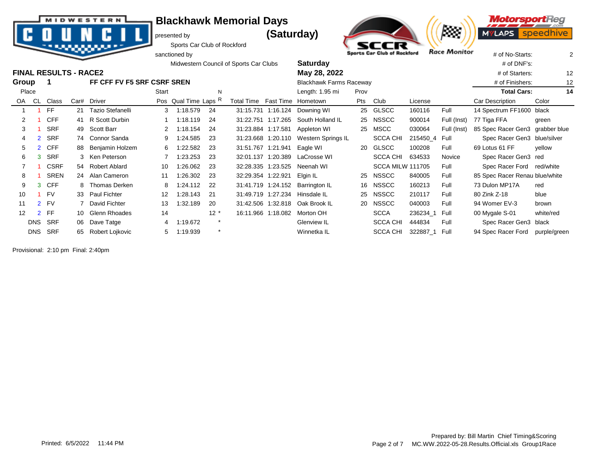presented by **(Saturday)** 



**MotorsportReg** 7373 **MYLAPS** speed

Sports Car Club of Rockford sanctioned by  $\frac{1}{2}$  sports Car Club of Rockford Race Monitor  $\frac{1}{4}$  of No-Starts: 2

|       |                |                              |  |                            |                   |                      |         | Midwestern Council of Sports Car Clubs |                    | <b>Saturday</b>                  |      |                         | # of DNF's:           |             |                                 |              |
|-------|----------------|------------------------------|--|----------------------------|-------------------|----------------------|---------|----------------------------------------|--------------------|----------------------------------|------|-------------------------|-----------------------|-------------|---------------------------------|--------------|
|       |                | <b>FINAL RESULTS - RACE2</b> |  |                            |                   |                      |         |                                        |                    | May 28, 2022                     |      |                         | # of Starters:        |             |                                 |              |
| Group |                |                              |  | FF CFF FV F5 SRF CSRF SREN |                   |                      |         |                                        |                    | <b>Blackhawk Farms Raceway</b>   |      |                         | # of Finishers:<br>12 |             |                                 |              |
| Place |                |                              |  |                            | Start             |                      | N       |                                        |                    | Length: 1.95 mi                  | Prov |                         |                       |             | <b>Total Cars:</b>              | 14           |
| OA .  | CL             | Class                        |  | Car# Driver                |                   | Pos Qual Time Laps R |         | Total Time Fast Time Hometown          |                    |                                  | Pts  | Club                    | License               |             | Car Description                 | Color        |
|       |                | FF.                          |  | 21 Tazio Stefanelli        |                   | 3 1:18.579           | -24     |                                        |                    | 31:15.731 1:16.124 Downing WI    |      | 25 GLSCC                | 160116                | Full        | 14 Spectrum FF1600 black        |              |
| 2     |                | <b>CFF</b>                   |  | 41 R Scott Durbin          |                   | 1:18.119             | 24      |                                        | 31:22.751 1:17.265 | South Holland IL                 |      | 25 NSSCC                | 900014                | Full (Inst) | 77 Tiga FFA                     | green        |
| 3     |                | <b>SRF</b>                   |  | 49 Scott Barr              |                   | 2 1:18.154           | 24      |                                        |                    | 31:23.884 1:17.581 Appleton WI   | 25   | MSCC                    | 030064                | Full (Inst) | 85 Spec Racer Gen3 grabber blue |              |
|       |                | SRF                          |  | 74 Connor Sanda            |                   | 1:24.585             | 23      |                                        | 31:23.668 1:20.110 | Western Springs IL               |      | <b>SCCA CHI</b>         | 215450_4 Full         |             | Spec Racer Gen3 blue/silver     |              |
| 5     |                | <b>CFF</b>                   |  | 88 Benjamin Holzem         | 6                 | 1:22.582             | 23      |                                        | 31:51.767 1:21.941 | Eagle WI                         |      | 20 GLSCC                | 100208                | Full        | 69 Lotus 61 FF                  | yellow       |
| 6     | 3              | <b>SRF</b>                   |  | 3 Ken Peterson             |                   | 1:23.253             | 23      |                                        |                    | 32:01.137 1:20.389 LaCrosse WI   |      | <b>SCCA CHI</b>         | 634533                | Novice      | Spec Racer Gen3 red             |              |
|       |                | <b>CSRF</b>                  |  | 54 Robert Ablard           | 10                | 1:26.062             | 23      |                                        |                    | 32:28.335 1:23.525 Neenah WI     |      | <b>SCCA MILW 111705</b> |                       | Full        | Spec Racer Ford                 | red/white    |
| 8     |                | <b>SREN</b>                  |  | 24 Alan Cameron            | 11                | 1:26.302             | 23      |                                        | 32:29.354 1:22.921 | Elgin IL                         | 25   | <b>NSSCC</b>            | 840005                | Full        | 85 Spec Racer Renau blue/white  |              |
| 9     | 3              | <b>CFF</b>                   |  | 8 Thomas Derken            | 8                 | 1:24.112             | -22     |                                        |                    | 31:41.719 1:24.152 Barrington IL |      | 16 NSSCC                | 160213                | Full        | 73 Dulon MP17A                  | red          |
| 10    |                | <b>FV</b>                    |  | 33 Paul Fichter            | $12 \overline{ }$ | 1:28.143             | -21     |                                        |                    | 31:49.719 1:27.234 Hinsdale IL   | 25   | <b>NSSCC</b>            | 210117                | Full        | 80 Zink Z-18                    | blue         |
| 11    |                | 2 FV                         |  | David Fichter              | 13                | 1:32.189             | 20      |                                        |                    | 31:42.506 1:32.818 Oak Brook IL  |      | 20 NSSCC                | 040003                | Full        | 94 Womer EV-3                   | brown        |
| 12    | $\overline{2}$ | <b>FF</b>                    |  | 10 Glenn Rhoades           | 14                |                      | $12 *$  |                                        | 16:11.966 1:18.082 | Morton OH                        |      | <b>SCCA</b>             | 236234 1              | Full        | 00 Mygale S-01                  | white/red    |
|       | <b>DNS</b>     | <b>SRF</b>                   |  | 06 Dave Tatge              | 4                 | 1:19.672             |         |                                        |                    | Glenview IL                      |      | <b>SCCA CHI</b>         | 444834                | Full        | Spec Racer Gen3 black           |              |
|       | <b>DNS</b>     | SRF                          |  | 65 Robert Lojkovic         | 5                 | 1:19.939             | $\star$ |                                        |                    | Winnetka IL                      |      | <b>SCCA CHI</b>         | 322887_1              | Full        | 94 Spec Racer Ford              | purple/green |

Provisional: 2:10 pm Final: 2:40pm



**MIDWESTERN**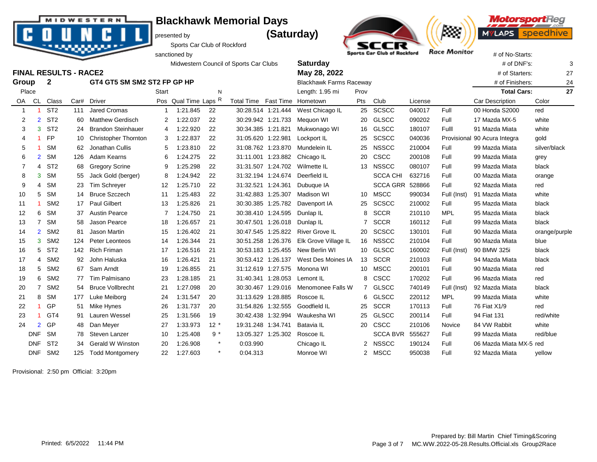presented by **(Saturday)** 



**MotorsportReg** ,,,,,, **MYLAPS** speedhive

Sports Car Club of Rockford

|                |                |                              |      |                             |              |                      |         | Midwestern Council of Sports Car Clubs |                    | <b>Saturday</b>                |             |                        |         |             | # of DNF's:             | 3             |
|----------------|----------------|------------------------------|------|-----------------------------|--------------|----------------------|---------|----------------------------------------|--------------------|--------------------------------|-------------|------------------------|---------|-------------|-------------------------|---------------|
|                |                | <b>FINAL RESULTS - RACE2</b> |      |                             |              |                      |         |                                        |                    | May 28, 2022                   |             |                        |         |             | # of Starters:          | 27            |
| Group          |                | $\mathbf{2}$                 |      | GT4 GT5 SM SM2 ST2 FP GP HP |              |                      |         |                                        |                    | <b>Blackhawk Farms Raceway</b> |             |                        |         |             | # of Finishers:         | 24            |
| Place          |                |                              |      |                             | <b>Start</b> |                      | N       |                                        |                    | Length: 1.95 mi                | Prov        |                        |         |             | <b>Total Cars:</b>      | 27            |
|                | OA CL          | Class                        | Car# | <b>Driver</b>               |              | Pos Qual Time Laps R |         | Total Time Fast Time Hometown          |                    |                                | Pts         | Club                   | License |             | Car Description         | Color         |
| -1             |                | ST <sub>2</sub>              | 111  | <b>Jared Cromas</b>         |              | 1:21.845             | 22      |                                        | 30:28.514 1:21.444 | West Chicago IL                |             | 25 SCSCC               | 040017  | Full        | 00 Honda S2000          | red           |
| 2              | $\overline{2}$ | ST <sub>2</sub>              | 60   | <b>Matthew Gerdisch</b>     | 2            | 1:22.037             | 22      |                                        | 30:29.942 1:21.733 | Meguon WI                      |             | 20 GLSCC               | 090202  | Full        | 17 Mazda MX-5           | white         |
| 3              | 3              | ST <sub>2</sub>              | 24   | <b>Brandon Steinhauer</b>   | 4            | 1:22.920             | 22      |                                        | 30:34.385 1:21.821 | Mukwonago WI                   |             | 16 GLSCC               | 180107  | Full        | 91 Mazda Miata          | white         |
| 4              |                | <b>FP</b>                    | 10   | <b>Christopher Thornton</b> | 3            | 1:22.837             | 22      |                                        | 31:05.620 1:22.981 | Lockport IL                    | 25          | <b>SCSCC</b>           | 040036  | Provisional | 90 Acura Integra        | gold          |
| 5              |                | <b>SM</b>                    | 62   | Jonathan Cullis             | 5            | 1:23.810             | 22      |                                        | 31:08.762 1:23.870 | Mundelein IL                   | 25          | <b>NSSCC</b>           | 210004  | Full        | 99 Mazda Miata          | silver/black  |
| 6              | $\overline{2}$ | <b>SM</b>                    | 126  | Adam Kearns                 | 6            | 1:24.275             | 22      |                                        | 31:11.001 1:23.882 | Chicago IL                     | 20          | CSCC                   | 200108  | Full        | 99 Mazda Miata          | grey          |
| $\overline{7}$ | 4              | ST <sub>2</sub>              | 68   | <b>Gregory Scrine</b>       |              | 1:25.298             | 22      |                                        |                    | 31:31.507 1:24.702 Wilmette IL |             | 13 NSSCC               | 080107  | Full        | 99 Mazda Miata          | black         |
| 8              | 3              | <b>SM</b>                    | 55   | Jack Gold (berger)          | 8            | 1:24.942             | 22      |                                        | 31:32.194 1:24.674 | Deerfield IL                   |             | <b>SCCA CHI</b>        | 632716  | Full        | 00 Mazda Miata          | orange        |
| 9              | 4              | <b>SM</b>                    | 23   | <b>Tim Schreyer</b>         | 12           | 1:25.710             | 22      |                                        | 31:32.521 1:24.361 | Dubuque IA                     |             | <b>SCCA GRR 528866</b> |         | Full        | 92 Mazda Miata          | red           |
| 10             | 5              | <b>SM</b>                    | 14   | <b>Bruce Szczech</b>        | 11           | 1:25.483             | 22      |                                        | 31:42.883 1:25.307 | Madison WI                     |             | 10 MSCC                | 990034  | Full (Inst) | 91 Mazda Miata          | white         |
| 11             |                | SM <sub>2</sub>              | 17   | <b>Paul Gilbert</b>         | 13           | 1:25.826             | 21      |                                        | 30:30.385 1:25.782 | Davenport IA                   | 25          | <b>SCSCC</b>           | 210002  | Full        | 95 Mazda Miata          | black         |
| 12             | 6              | <b>SM</b>                    | 37   | <b>Austin Pearce</b>        |              | 1:24.750             | 21      |                                        | 30:38.410 1:24.595 | Dunlap IL                      | 8           | SCCR                   | 210110  | <b>MPL</b>  | 95 Mazda Miata          | black         |
| 13             | $\overline{7}$ | <b>SM</b>                    | 58   | Jason Pearce                | 18           | 1:26.657             | 21      |                                        | 30:47.501 1:26.018 | Dunlap IL                      | $7^{\circ}$ | <b>SCCR</b>            | 160112  | Full        | 99 Mazda Miata          | black         |
| 14             | $\overline{2}$ | SM <sub>2</sub>              | 81   | Jason Martin                | 15           | 1:26.402             | 21      |                                        | 30:47.545 1:25.822 | <b>River Grove IL</b>          |             | 20 SCSCC               | 130101  | Full        | 90 Mazda Miata          | orange/purple |
| 15             | 3              | SM <sub>2</sub>              | 124  | <b>Peter Leonteos</b>       | 14           | 1:26.344             | 21      |                                        | 30:51.258 1:26.376 | Elk Grove Village IL           |             | 16 NSSCC               | 210104  | Full        | 90 Mazda Miata          | blue          |
| 16             | 5              | ST <sub>2</sub>              | 142  | <b>Rich Friman</b>          | 17           | 1:26.516             | 21      |                                        | 30:53.183 1:25.455 | New Berlin WI                  |             | 10 GLSCC               | 160002  | Full (Inst) | 90 BMW 325i             | black         |
| 17             | 4              | SM <sub>2</sub>              | 92   | John Haluska                | 16           | 1:26.421             | 21      |                                        | 30:53.412 1:26.137 | West Des Moines IA             |             | 13 SCCR                | 210103  | Full        | 94 Mazda Miata          | black         |
| 18             | 5              | SM <sub>2</sub>              | 67   | Sam Arndt                   | 19           | 1:26.855             | 21      |                                        | 31:12.619 1:27.575 | Monona WI                      |             | 10 MSCC                | 200101  | Full        | 90 Mazda Miata          | red           |
| 19             | 6              | SM <sub>2</sub>              | 77   | Tim Palmisano               | 23           | 1:28.185             | 21      |                                        | 31:40.341 1:28.053 | Lemont IL                      |             | 8 CSCC                 | 170202  | Full        | 96 Mazda Miata          | red           |
| 20             | $\overline{7}$ | SM <sub>2</sub>              |      | 54 Bruce Vollbrecht         | 21           | 1:27.098             | 20      |                                        | 30:30.467 1:29.016 | Menomonee Falls W              |             | 7 GLSCC                | 740149  | Full (Inst) | 92 Mazda Miata          | black         |
| 21             | 8              | <b>SM</b>                    | 177  | Luke Meiborg                | 24           | 1:31.547             | 20      |                                        | 31:13.629 1:28.885 | Roscoe IL                      |             | 6 GLSCC                | 220112  | <b>MPL</b>  | 99 Mazda Miata          | white         |
| 22             | -1             | GP                           | 51   | Mike Hynes                  | 26           | 1:31.737             | 20      |                                        | 31:54.826 1:32.555 | Goodfield IL                   |             | 25 SCCR                | 170113  | Full        | 76 Fiat X1/9            | red           |
| 23             |                | GT <sub>4</sub>              | 91   | Lauren Wessel               | 25           | 1:31.566             | 19      |                                        | 30:42.438 1:32.994 | Waukesha WI                    |             | 25 GLSCC               | 200114  | Full        | 94 Fiat 131             | red/white     |
| 24             | $\overline{2}$ | GP                           | 48   | Dan Meyer                   | 27           | 1:33.973             | $12*$   |                                        | 19:31.248 1:34.741 | Batavia IL                     |             | 20 CSCC                | 210106  | Novice      | 84 VW Rabbit            | white         |
|                | <b>DNF</b>     | <b>SM</b>                    | 78   | Steven Lanzer               | 10           | 1:25.408             | $9 *$   |                                        | 13:05.327 1:25.302 | Roscoe IL                      |             | <b>SCCA BVR 555627</b> |         | Full        | 99 Mazda Miata          | red/blue      |
|                | <b>DNF</b>     | ST <sub>2</sub>              | 34   | <b>Gerald W Winston</b>     | 20           | 1:26.908             | $\star$ | 0:03.990                               |                    | Chicago IL                     |             | 2 NSSCC                | 190124  | Full        | 06 Mazda Miata MX-5 red |               |
|                | <b>DNF</b>     | SM <sub>2</sub>              | 125  | <b>Todd Montgomery</b>      | 22           | 1:27.603             | $\star$ | 0:04.313                               |                    | Monroe WI                      |             | 2 MSCC                 | 950038  | Full        | 92 Mazda Miata          | yellow        |

Provisional: 2:50 pm Official: 3:20pm

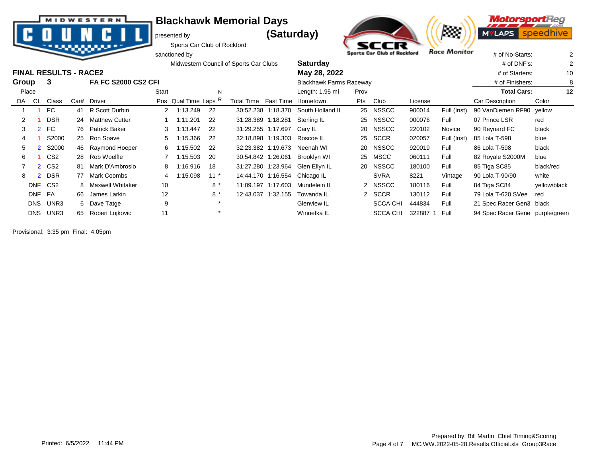

presented by **(Saturday)** 





Sports Car Club of Rockford sanctioned by  $\frac{1}{2}$  sports Car Club of Rockford Race Monitor  $\frac{1}{4}$  of No-Starts:  $\frac{2}{3}$ 

|       |            |                              |      |                            |       |                      |         | Midwestern Council of Sports Car Clubs | <b>Saturday</b>                  |            |                 |         |             | $#$ of DNF's:                   |              |
|-------|------------|------------------------------|------|----------------------------|-------|----------------------|---------|----------------------------------------|----------------------------------|------------|-----------------|---------|-------------|---------------------------------|--------------|
|       |            | <b>FINAL RESULTS - RACE2</b> |      |                            |       |                      |         |                                        | May 28, 2022                     |            |                 |         |             | # of Starters:                  | 10           |
| Group |            | 3                            |      | <b>FA FC S2000 CS2 CFI</b> |       |                      |         |                                        | <b>Blackhawk Farms Raceway</b>   |            |                 |         |             | # of Finishers:                 | 8            |
| Place |            |                              |      |                            | Start |                      | N       |                                        | Length: 1.95 mi                  | Prov       |                 |         |             | <b>Total Cars:</b>              | 12           |
| OA.   | <b>CL</b>  | Class                        | Car# | Driver                     |       | Pos Qual Time Laps R |         | Total Time                             | Fast Time Hometown               | <b>Pts</b> | Club            | License |             | Car Description                 | Color        |
|       |            | FC                           |      | 41 R Scott Durbin          |       | 2 1:13.249           | 22      | 30:52.238 1:18.370                     | South Holland IL                 |            | 25 NSSCC        | 900014  | Full (Inst) | 90 VanDiemen RF90               | vellow       |
|       |            | <b>DSR</b>                   | 24   | <b>Matthew Cutter</b>      |       | 1:11.201             | 22      | 31:28.389 1:18.281                     | Sterling IL                      |            | 25 NSSCC        | 000076  | Full        | 07 Prince LSR                   | red          |
| 3     |            | <b>FC</b>                    |      | 76 Patrick Baker           | 3     | 1:13.447             | 22      | 31:29.255 1:17.697                     | Carv IL                          | 20         | <b>NSSCC</b>    | 220102  | Novice      | 90 Reynard FC                   | black        |
| 4     |            | S2000                        |      | 25 Ron Soave               | 5     | 1:15.366             | 22      | 32:18.898 1:19.303                     | Roscoe IL                        | 25         | <b>SCCR</b>     | 020057  | Full (Inst) | 85 Lola T-598                   | blue         |
| 5     |            | S2000                        |      | 46 Raymond Hoeper          | 6     | 1:15.502             | 22      | 32:23.382 1:19.673                     | Neenah WI                        |            | 20 NSSCC        | 920019  | Full        | 86 Lola T-598                   | black        |
| 6     |            | CS <sub>2</sub>              |      | 28 Rob Woelfle             |       | 1.15.503             | -20     | 30:54.842 1:26.061                     | Brooklyn WI                      |            | 25 MSCC         | 060111  | Full        | 82 Royale S2000M                | blue         |
|       |            | 2 CS <sub>2</sub>            | 81   | Mark D'Ambrosio            | 8     | 1:16.916             | 18      |                                        | 31:27.280 1:23.964 Glen Ellyn IL |            | 20 NSSCC        | 180100  | Full        | 85 Tiga SC85                    | black/red    |
| 8     |            | <b>DSR</b>                   | 77   | Mark Coombs                |       | 1:15.098             | $11*$   | 14:44.170 1:16.554                     | Chicago IL                       |            | <b>SVRA</b>     | 8221    | Vintage     | 90 Lola T-90/90                 | white        |
|       | <b>DNF</b> | CS <sub>2</sub>              | 8.   | Maxwell Whitaker           | 10    |                      | $8*$    | 11:09.197 1:17.603                     | Mundelein IL                     |            | 2 NSSCC         | 180116  | Full        | 84 Tiga SC84                    | yellow/black |
|       | <b>DNF</b> | <b>FA</b>                    | 66   | James Larkin               | 12    |                      | $8*$    | 12:43.037 1:32.155                     | Towanda IL                       |            | 2 SCCR          | 130112  | Full        | 79 Lola T-620 SVee              | red          |
|       | <b>DNS</b> | UNR3                         |      | 6 Dave Tatge               | 9     |                      | $\star$ |                                        | Glenview IL                      |            | <b>SCCA CHI</b> | 444834  | Full        | 21 Spec Racer Gen3 black        |              |
|       |            | DNS UNR3                     | 65   | Robert Lojkovic            | 11    |                      |         |                                        | Winnetka IL                      |            | SCCA CHI        | 322887  | Full        | 94 Spec Racer Gene purple/green |              |

Provisional: 3:35 pm Final: 4:05pm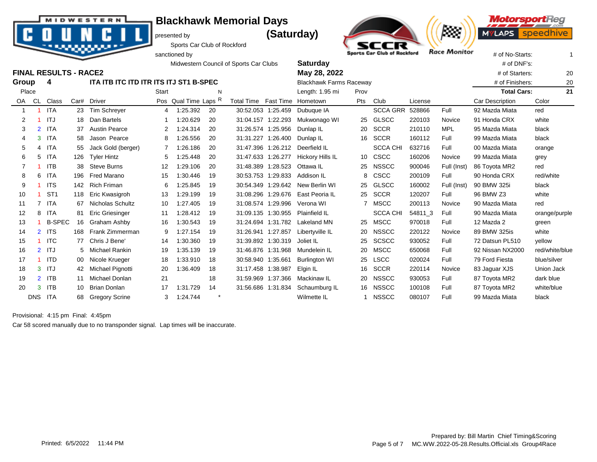presented by **(Saturday)** 



**MotorsportReg** ---**MYLAPS** speed



Sports Car Club of Rockford sanctioned by  $\frac{1}{2}$  sports Car Club of Rockford Race Monitor  $\frac{1}{4}$  of No-Starts: 1

|                   |                |                              |     |                                        |       |                      |         | Midwestern Council of Sports Car Clubs |                    | <b>Saturday</b>                |      |                 | # of DNF's:     |                      |                    |                |
|-------------------|----------------|------------------------------|-----|----------------------------------------|-------|----------------------|---------|----------------------------------------|--------------------|--------------------------------|------|-----------------|-----------------|----------------------|--------------------|----------------|
|                   |                | <b>FINAL RESULTS - RACE2</b> |     |                                        |       |                      |         |                                        |                    | May 28, 2022                   |      |                 |                 | # of Starters:<br>20 |                    |                |
| Group             |                | 4                            |     | ITA ITB ITC ITD ITR ITS ITJ ST1 B-SPEC |       |                      |         |                                        |                    | <b>Blackhawk Farms Raceway</b> |      |                 | # of Finishers: | 20                   |                    |                |
| Place             |                |                              |     |                                        | Start |                      | N       |                                        |                    | Length: 1.95 mi                | Prov |                 |                 |                      | <b>Total Cars:</b> | 21             |
| OA                | CL             | Class                        |     | Car# Driver                            |       | Pos Qual Time Laps R |         | Total Time Fast Time Hometown          |                    |                                | Pts  | Club            | License         |                      | Car Description    | Color          |
| 1                 |                | <b>ITA</b>                   | 23  | <b>Tim Schrever</b>                    | 4     | 1:25.392             | 20      | 30:52.053 1:25.459                     |                    | Dubuque IA                     |      | <b>SCCA GRR</b> | 528866          | Full                 | 92 Mazda Miata     | red            |
| 2                 |                | ITJ                          | 18  | Dan Bartels                            |       | 1:20.629             | 20      |                                        | 31:04.157 1:22.293 | Mukwonago WI                   |      | 25 GLSCC        | 220103          | Novice               | 91 Honda CRX       | white          |
| 3                 | $\overline{2}$ | <b>ITA</b>                   | 37  | <b>Austin Pearce</b>                   | 2     | 1:24.314             | 20      |                                        | 31:26.574 1:25.956 | Dunlap IL                      | 20   | <b>SCCR</b>     | 210110          | <b>MPL</b>           | 95 Mazda Miata     | black          |
| 4                 | 3              | <b>ITA</b>                   | 58  | Jason Pearce                           | 8     | 1:26.556             | 20      | 31:31.227                              | 1:26.400           | Dunlap IL                      |      | 16 SCCR         | 160112          | Full                 | 99 Mazda Miata     | black          |
| 5                 | 4              | <b>ITA</b>                   | 55  | Jack Gold (berger)                     | 7     | 1:26.186             | 20      |                                        | 31:47.396 1:26.212 | Deerfield IL                   |      | <b>SCCA CHI</b> | 632716          | Full                 | 00 Mazda Miata     | orange         |
| 6                 | 5              | ITA                          | 126 | <b>Tyler Hintz</b>                     | 5     | 1.25.448             | 20      |                                        | 31:47.633 1:26.277 | Hickory Hills IL               |      | 10 CSCC         | 160206          | Novice               | 99 Mazda Miata     | grey           |
|                   |                | <b>ITB</b>                   | 38  | <b>Steve Burns</b>                     | 12    | 1:29.106             | 20      | 31:48.389                              | 1:28.523           | Ottawa IL                      | 25   | <b>NSSCC</b>    | 900046          | Full (Inst)          | 86 Toyota MR2      | red            |
| 8                 | 6              | <b>ITA</b>                   | 196 | Fred Marano                            | 15    | 1:30.446             | 19      |                                        | 30:53.753 1:29.833 | Addison IL                     | 8    | CSCC            | 200109          | Full                 | 90 Honda CRX       | red/white      |
| 9                 |                | <b>ITS</b>                   | 142 | <b>Rich Friman</b>                     | 6     | 1:25.845             | 19      |                                        | 30:54.349 1:29.642 | New Berlin WI                  |      | 25 GLSCC        | 160002          | Full (Inst)          | 90 BMW 325i        | black          |
| 10                |                | ST <sub>1</sub>              | 118 | Eric Kwasigroh                         | 13    | 1:29.199             | 19      |                                        | 31:08.296 1:29.676 | East Peoria IL                 | 25   | SCCR            | 120207          | Full                 | 96 BMW Z3          | white          |
| 11                |                | <b>ITA</b>                   | 67  | Nicholas Schultz                       | 10    | 1:27.405             | 19      |                                        | 31:08.574 1:29.996 | Verona WI                      |      | <b>MSCC</b>     | 200113          | Novice               | 90 Mazda Miata     | red            |
| $12 \overline{ }$ | 8              | <b>ITA</b>                   | 81  | Eric Griesinger                        | 11    | 1:28.412             | 19      |                                        | 31:09.135 1:30.955 | Plainfield IL                  |      | <b>SCCA CHI</b> | 54811 3         | Full                 | 90 Mazda Miata     | orange/purple  |
| 13                |                | <b>B-SPEC</b>                | 16  | Graham Ashby                           | 16    | 1:30.543             | 19      |                                        | 31:24.694 1:31.782 | Lakeland MN                    |      | 25 MSCC         | 970018          | Full                 | 12 Mazda 2         | green          |
| 14                | 2 <sup>1</sup> | <b>ITS</b>                   | 168 | Frank Zimmerman                        | 9     | 1:27.154             | 19      |                                        | 31:26.941 1:27.857 | Libertyville IL                | 20   | <b>NSSCC</b>    | 220122          | Novice               | 89 BMW 325is       | white          |
| 15                | -1             | <b>ITC</b>                   |     | 77 Chris J Bene'                       | 14    | 1:30.360             | 19      |                                        | 31:39.892 1:30.319 | Joliet IL                      | 25   | <b>SCSCC</b>    | 930052          | Full                 | 72 Datsun PL510    | yellow         |
| 16                |                | $2$ ITJ                      | 5   | Michael Rankin                         | 19    | 1:35.139             | 19      | 31:46.876 1:31.968                     |                    | Mundelein IL                   | 20   | MSCC            | 650068          | Full                 | 92 Nissan NX2000   | red/white/blue |
| 17                |                | <b>ITD</b>                   | 00  | Nicole Krueger                         | 18    | 1:33.910             | 18      | 30:58.940 1:35.661                     |                    | <b>Burlington WI</b>           | 25   | <b>LSCC</b>     | 020024          | Full                 | 79 Ford Fiesta     | blue/silver    |
| 18                | 3              | <b>ITJ</b>                   |     | Michael Pignotti                       | 20    | 1:36.409             | 18      | 31:17.458 1:38.987                     |                    | Elgin IL                       | 16   | <b>SCCR</b>     | 220114          | Novice               | 83 Jaguar XJS      | Union Jack     |
| 19                | $\overline{2}$ | <b>ITB</b>                   | 11  | Michael Donlan                         | 21    |                      | 18      | 31:59.969                              | 1:37.366           | Mackinaw IL                    | 20   | <b>NSSCC</b>    | 930053          | Full                 | 87 Toyota MR2      | dark blue      |
| 20                | 3              | <b>ITB</b>                   | 10  | <b>Brian Donlan</b>                    | 17    | 1:31.729             | 14      | 31:56.686 1:31.834                     |                    | Schaumburg IL                  | 16   | <b>NSSCC</b>    | 100108          | Full                 | 87 Toyota MR2      | white/blue     |
|                   | <b>DNS</b>     | ITA                          | 68  | <b>Gregory Scrine</b>                  | 3     | 1:24.744             | $\star$ |                                        |                    | Wilmette IL                    | 1.   | <b>NSSCC</b>    | 080107          | Full                 | 99 Mazda Miata     | black          |

Provisional: 4:15 pm Final: 4:45pm

Car 58 scored manually due to no transponder signal. Lap times will be inaccurate.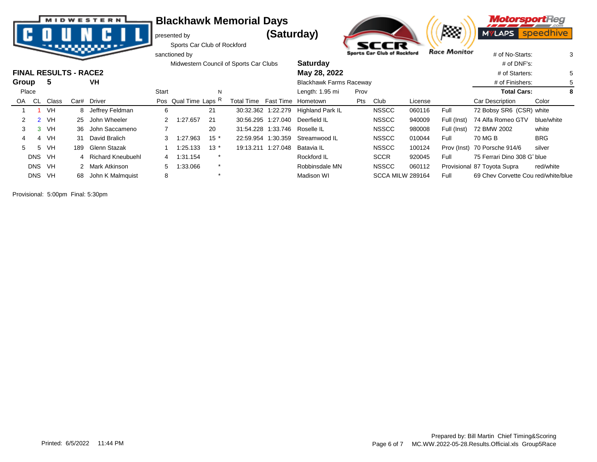|  |  | <b>MIDWESTERN</b> |  |
|--|--|-------------------|--|
|  |  |                   |  |
|  |  |                   |  |
|  |  |                   |  |
|  |  |                   |  |

presented by **(Saturday)** 







|       |               |                              | --   |                     |       | sanctioned by        |         |                                        |                                |      | Sports Car Club of Rockford |         | <b>NGCE INIONICO</b> | # of No-Starts:                     |            | 3 |
|-------|---------------|------------------------------|------|---------------------|-------|----------------------|---------|----------------------------------------|--------------------------------|------|-----------------------------|---------|----------------------|-------------------------------------|------------|---|
|       |               |                              |      |                     |       |                      |         | Midwestern Council of Sports Car Clubs | <b>Saturday</b>                |      |                             |         |                      | $#$ of DNF's:                       |            |   |
|       |               | <b>FINAL RESULTS - RACE2</b> |      |                     |       |                      |         |                                        | May 28, 2022                   |      |                             |         |                      | # of Starters:                      |            | 5 |
| Group |               | -5                           |      | VH                  |       |                      |         |                                        | <b>Blackhawk Farms Raceway</b> |      |                             |         |                      | # of Finishers:                     |            |   |
| Place |               |                              |      |                     | Start |                      | N       |                                        | Length: 1.95 mi                | Prov |                             |         |                      | <b>Total Cars:</b>                  |            | 8 |
| OA.   | CL            | Class                        | Car# | Driver              |       | Pos Qual Time Laps R |         | Total Time Fast Time Hometown          |                                | Pts  | Club                        | License |                      | Car Description                     | Color      |   |
|       |               | VH                           |      | 8 Jeffrey Feldman   | 6     |                      | 21      | 30:32.362 1:22.279                     | Highland Park IL               |      | <b>NSSCC</b>                | 060116  | Full                 | 72 Bobsy SR6 (CSR) white            |            |   |
| 2     | $\mathcal{P}$ | VH.                          |      | 25 John Wheeler     | 2     | 1:27.657             | -21     | 30:56.295 1:27.040                     | Deerfield IL                   |      | <b>NSSCC</b>                | 940009  | Full (Inst)          | 74 Alfa Romeo GTV                   | blue/white |   |
| 3     |               | 3 VH                         |      | 36 John Saccameno   |       |                      | 20      |                                        | 31:54.228 1:33.746 Roselle IL  |      | <b>NSSCC</b>                | 980008  | Full (Inst)          | 72 BMW 2002                         | white      |   |
|       |               | VH                           |      | 31 David Bralich    |       | 1:27.963             | $15*$   | 22:59.954 1:30.359                     | Streamwood IL                  |      | <b>NSSCC</b>                | 010044  | Full                 | 70 MG B                             | <b>BRG</b> |   |
| 5     | 5             | VH                           | 189  | Glenn Stazak        |       | 1:25.133             | $13*$   | 19:13.211 1:27.048                     | Batavia IL                     |      | <b>NSSCC</b>                | 100124  |                      | Prov (Inst) 70 Porsche 914/6        | silver     |   |
|       | DNS           | VH                           |      | 4 Richard Kneubuehl |       | 4 1:31.154           | $\ast$  |                                        | Rockford IL                    |      | <b>SCCR</b>                 | 920045  | Full                 | 75 Ferrari Dino 308 G blue          |            |   |
|       |               | DNS VH                       |      | 2 Mark Atkinson     | 5     | 1:33.066             | $\star$ |                                        | Robbinsdale MN                 |      | <b>NSSCC</b>                | 060112  |                      | Provisional 87 Toyota Supra         | red/white  |   |
|       | <b>DNS</b>    | VH                           | 68.  | John K Malmquist    | 8     |                      | $\star$ |                                        | Madison WI                     |      | SCCA MILW 289164            |         | Full                 | 69 Chev Corvette Cou red/white/blue |            |   |

Provisional: 5:00pm Final: 5:30pm